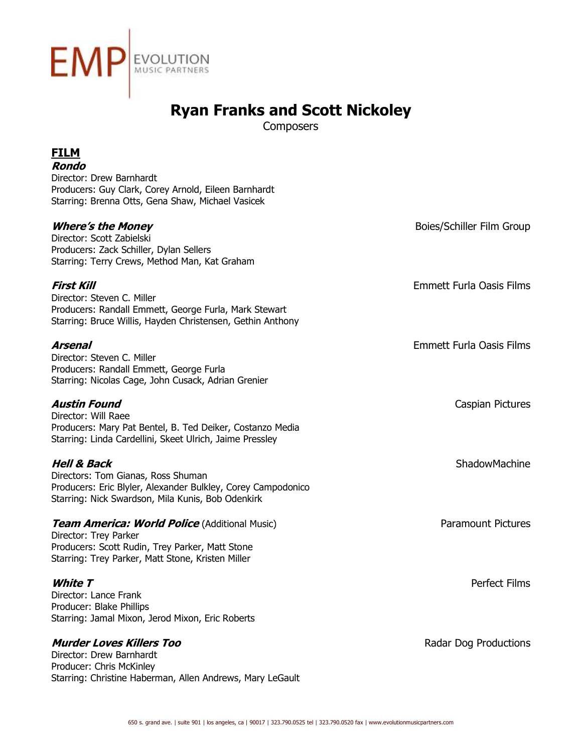

# **Ryan Franks and Scott Nickoley**

**Composers** 

| <u>FILM</u><br><b>Rondo</b>                                                                                                                                                    |                                 |
|--------------------------------------------------------------------------------------------------------------------------------------------------------------------------------|---------------------------------|
| Director: Drew Barnhardt<br>Producers: Guy Clark, Corey Arnold, Eileen Barnhardt<br>Starring: Brenna Otts, Gena Shaw, Michael Vasicek                                          |                                 |
| <b>Where's the Money</b><br>Director: Scott Zabielski<br>Producers: Zack Schiller, Dylan Sellers<br>Starring: Terry Crews, Method Man, Kat Graham                              | Boies/Schiller Film Group       |
| First Kill<br>Director: Steven C. Miller<br>Producers: Randall Emmett, George Furla, Mark Stewart<br>Starring: Bruce Willis, Hayden Christensen, Gethin Anthony                | <b>Emmett Furla Oasis Films</b> |
| Arsenal<br>Director: Steven C. Miller<br>Producers: Randall Emmett, George Furla<br>Starring: Nicolas Cage, John Cusack, Adrian Grenier                                        | <b>Emmett Furla Oasis Films</b> |
| <b>Austin Found</b><br>Director: Will Raee<br>Producers: Mary Pat Bentel, B. Ted Deiker, Costanzo Media<br>Starring: Linda Cardellini, Skeet Ulrich, Jaime Pressley            | Caspian Pictures                |
| Hell & Back<br>Directors: Tom Gianas, Ross Shuman<br>Producers: Eric Blyler, Alexander Bulkley, Corey Campodonico<br>Starring: Nick Swardson, Mila Kunis, Bob Odenkirk         | ShadowMachine                   |
| Team America: World Police (Additional Music)<br>Director: Trey Parker<br>Producers: Scott Rudin, Trey Parker, Matt Stone<br>Starring: Trey Parker, Matt Stone, Kristen Miller | <b>Paramount Pictures</b>       |
| White T<br>Director: Lance Frank<br>Producer: Blake Phillips<br>Starring: Jamal Mixon, Jerod Mixon, Eric Roberts                                                               | Perfect Films                   |
| <b>Murder Loves Killers Too</b><br>Director: Drew Barnhardt<br>Producer: Chris McKinley                                                                                        | Radar Dog Productions           |

Starring: Christine Haberman, Allen Andrews, Mary LeGault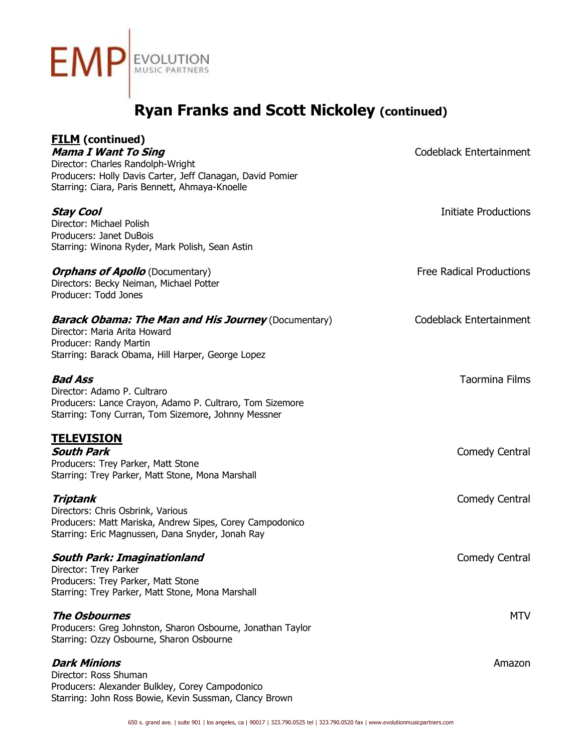

| <b>FILM</b> (continued)<br><b>Mama I Want To Sing</b><br>Director: Charles Randolph-Wright<br>Producers: Holly Davis Carter, Jeff Clanagan, David Pomier<br>Starring: Ciara, Paris Bennett, Ahmaya-Knoelle | Codeblack Entertainment         |
|------------------------------------------------------------------------------------------------------------------------------------------------------------------------------------------------------------|---------------------------------|
| <b>Stay Cool</b><br>Director: Michael Polish<br>Producers: Janet DuBois<br>Starring: Winona Ryder, Mark Polish, Sean Astin                                                                                 | Initiate Productions            |
| <b>Orphans of Apollo</b> (Documentary)<br>Directors: Becky Neiman, Michael Potter<br>Producer: Todd Jones                                                                                                  | <b>Free Radical Productions</b> |
| <b>Barack Obama: The Man and His Journey</b> (Documentary)<br>Director: Maria Arita Howard<br>Producer: Randy Martin<br>Starring: Barack Obama, Hill Harper, George Lopez                                  | Codeblack Entertainment         |
| <b>Bad Ass</b><br>Director: Adamo P. Cultraro<br>Producers: Lance Crayon, Adamo P. Cultraro, Tom Sizemore<br>Starring: Tony Curran, Tom Sizemore, Johnny Messner                                           | <b>Taormina Films</b>           |
| <b>TELEVISION</b><br><b>South Park</b><br>Producers: Trey Parker, Matt Stone<br>Starring: Trey Parker, Matt Stone, Mona Marshall                                                                           | Comedy Central                  |
| Triptank<br>Directors: Chris Osbrink, Various<br>Producers: Matt Mariska, Andrew Sipes, Corey Campodonico<br>Starring: Eric Magnussen, Dana Snyder, Jonah Ray                                              | Comedy Central                  |
| South Park: Imaginationland<br>Director: Trey Parker<br>Producers: Trey Parker, Matt Stone<br>Starring: Trey Parker, Matt Stone, Mona Marshall                                                             | Comedy Central                  |
| <b>The Osbournes</b><br>Producers: Greg Johnston, Sharon Osbourne, Jonathan Taylor<br>Starring: Ozzy Osbourne, Sharon Osbourne                                                                             | <b>MTV</b>                      |
| <b>Dark Minions</b><br>Director: Ross Shuman<br>Producers: Alexander Bulkley, Corey Campodonico<br>Starring: John Ross Bowie, Kevin Sussman, Clancy Brown                                                  | Amazon                          |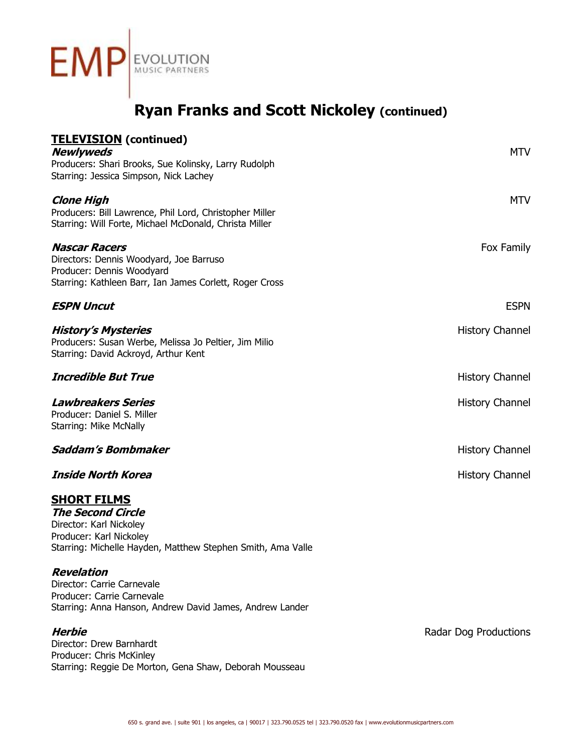

Producer: Chris McKinley

Starring: Reggie De Morton, Gena Shaw, Deborah Mousseau

| <b>TELEVISION</b> (continued)                                                                                                                                       |                        |
|---------------------------------------------------------------------------------------------------------------------------------------------------------------------|------------------------|
| <b>Newlyweds</b><br>Producers: Shari Brooks, Sue Kolinsky, Larry Rudolph<br>Starring: Jessica Simpson, Nick Lachey                                                  | <b>MTV</b>             |
| <b>Clone High</b><br>Producers: Bill Lawrence, Phil Lord, Christopher Miller<br>Starring: Will Forte, Michael McDonald, Christa Miller                              | <b>MTV</b>             |
| <b>Nascar Racers</b><br>Directors: Dennis Woodyard, Joe Barruso<br>Producer: Dennis Woodyard<br>Starring: Kathleen Barr, Ian James Corlett, Roger Cross             | Fox Family             |
| <b>ESPN Uncut</b>                                                                                                                                                   | <b>ESPN</b>            |
| <b>History's Mysteries</b><br>Producers: Susan Werbe, Melissa Jo Peltier, Jim Milio<br>Starring: David Ackroyd, Arthur Kent                                         | <b>History Channel</b> |
| <b>Incredible But True</b>                                                                                                                                          | <b>History Channel</b> |
| <b>Lawbreakers Series</b><br>Producer: Daniel S. Miller<br>Starring: Mike McNally                                                                                   | <b>History Channel</b> |
| Saddam's Bombmaker                                                                                                                                                  | <b>History Channel</b> |
| <b>Inside North Korea</b>                                                                                                                                           | <b>History Channel</b> |
| <b>SHORT FILMS</b><br><b>The Second Circle</b><br>Director: Karl Nickoley<br>Producer: Karl Nickoley<br>Starring: Michelle Hayden, Matthew Stephen Smith, Ama Valle |                        |
| Revelation<br>Director: Carrie Carnevale<br>Producer: Carrie Carnevale<br>Starring: Anna Hanson, Andrew David James, Andrew Lander                                  |                        |
| Herbie<br>Director: Drew Barnhardt                                                                                                                                  | Radar Dog Productions  |